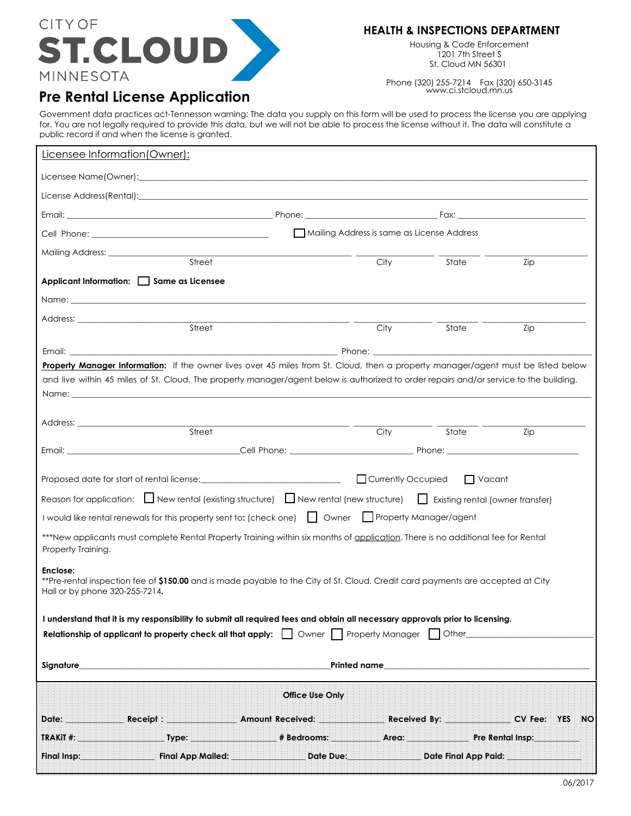

## **HEALTH & INSPECTIONS DEPARTMENT**

Housing & Code Enforcement 1201 7th Street S St. Cloud MN 56301

Phone (320) 255-7214 Fax (320) 650-3145 www.ci.stcloud.mn.us

## **Pre Rental License Application**

Government data practices act-Tennesson warning: The data you supply on this form will be used to process the license you are applying for. You are not legally required to provide this data, but we will not be able to process the license without it. The data will constitute a public record if and when the license is granted.

| Licensee Information (Owner):                                                                                                                                                                                                                               |                                                                                                                                                                                                                                |             |                    |     |
|-------------------------------------------------------------------------------------------------------------------------------------------------------------------------------------------------------------------------------------------------------------|--------------------------------------------------------------------------------------------------------------------------------------------------------------------------------------------------------------------------------|-------------|--------------------|-----|
|                                                                                                                                                                                                                                                             |                                                                                                                                                                                                                                |             |                    |     |
|                                                                                                                                                                                                                                                             |                                                                                                                                                                                                                                |             |                    |     |
|                                                                                                                                                                                                                                                             |                                                                                                                                                                                                                                |             |                    |     |
| Mailing Address is same as License Address                                                                                                                                                                                                                  |                                                                                                                                                                                                                                |             |                    |     |
|                                                                                                                                                                                                                                                             |                                                                                                                                                                                                                                |             |                    |     |
|                                                                                                                                                                                                                                                             | Street                                                                                                                                                                                                                         | City        | State              | Zip |
| Applicant Information: Same as Licensee                                                                                                                                                                                                                     |                                                                                                                                                                                                                                |             |                    |     |
|                                                                                                                                                                                                                                                             |                                                                                                                                                                                                                                |             |                    |     |
|                                                                                                                                                                                                                                                             | <u> 1989 - Johann Barn, mars ann an t-Amhain Aonaich an t-Aonaich an t-Aonaich ann an t-Aonaich ann an t-Aonaich</u><br>Street                                                                                                 | ___<br>City | $\overline{$ State | Zip |
|                                                                                                                                                                                                                                                             |                                                                                                                                                                                                                                |             |                    |     |
| Property Manager Information: If the owner lives over 45 miles from St. Cloud, then a property manager/agent must be listed below                                                                                                                           |                                                                                                                                                                                                                                |             |                    |     |
|                                                                                                                                                                                                                                                             | and live within 45 miles of St. Cloud. The property manager/agent below is authorized to order repairs and/or service to the building.                                                                                         |             |                    |     |
|                                                                                                                                                                                                                                                             | Name: when the contract of the contract of the contract of the contract of the contract of the contract of the contract of the contract of the contract of the contract of the contract of the contract of the contract of the |             |                    |     |
|                                                                                                                                                                                                                                                             |                                                                                                                                                                                                                                |             |                    |     |
|                                                                                                                                                                                                                                                             | Street                                                                                                                                                                                                                         |             | State              |     |
|                                                                                                                                                                                                                                                             |                                                                                                                                                                                                                                | City        |                    | Zip |
|                                                                                                                                                                                                                                                             |                                                                                                                                                                                                                                |             |                    |     |
|                                                                                                                                                                                                                                                             |                                                                                                                                                                                                                                |             |                    |     |
| Reason for application: $\Box$ New rental (existing structure) $\Box$ New rental (new structure) $\Box$ Existing rental (owner transfer)                                                                                                                    |                                                                                                                                                                                                                                |             |                    |     |
| I would like rental renewals for this property sent to: (check one)     Owner   Property Manager/agent                                                                                                                                                      |                                                                                                                                                                                                                                |             |                    |     |
| ***New applicants must complete Rental Property Training within six months of application. There is no additional fee for Rental<br>Property Training.                                                                                                      |                                                                                                                                                                                                                                |             |                    |     |
| Enclose:<br>**Pre-rental inspection fee of <b>\$150.00</b> and is made payable to the City of St. Cloud. Credit card payments are accepted at City<br>Hall or by phone 320-255-7214.                                                                        |                                                                                                                                                                                                                                |             |                    |     |
| I understand that it is my responsibility to submit all required fees and obtain all necessary approvals prior to licensing.<br><b>Relationship of applicant to property check all that apply:</b>     Owner     Property Manager     Other________________ |                                                                                                                                                                                                                                |             |                    |     |
| Printed name                                                                                                                                                                                                                                                |                                                                                                                                                                                                                                |             |                    |     |
| <b>Office Use Only</b>                                                                                                                                                                                                                                      |                                                                                                                                                                                                                                |             |                    |     |
|                                                                                                                                                                                                                                                             | Date: Receipt : Amount Received: Received: Received By: CV Fee: YES NO                                                                                                                                                         |             |                    |     |
|                                                                                                                                                                                                                                                             |                                                                                                                                                                                                                                |             |                    |     |
|                                                                                                                                                                                                                                                             | Final Insp:________________________Final App Mailed: ________________Date Due:___________________Date Final App Paid: _________________                                                                                        |             |                    |     |
|                                                                                                                                                                                                                                                             |                                                                                                                                                                                                                                |             |                    |     |